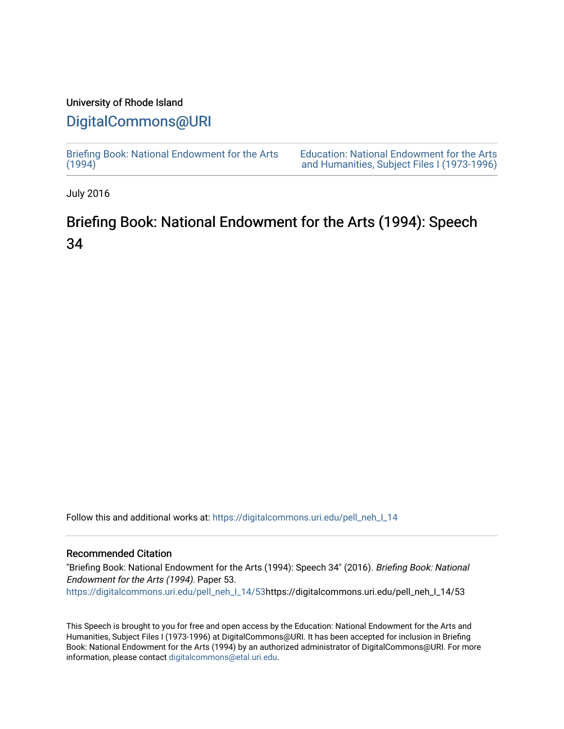### University of Rhode Island

## [DigitalCommons@URI](https://digitalcommons.uri.edu/)

[Briefing Book: National Endowment for the Arts](https://digitalcommons.uri.edu/pell_neh_I_14)  $(1994)$ 

[Education: National Endowment for the Arts](https://digitalcommons.uri.edu/pell_neh_I)  [and Humanities, Subject Files I \(1973-1996\)](https://digitalcommons.uri.edu/pell_neh_I) 

July 2016

# Briefing Book: National Endowment for the Arts (1994): Speech 34

Follow this and additional works at: [https://digitalcommons.uri.edu/pell\\_neh\\_I\\_14](https://digitalcommons.uri.edu/pell_neh_I_14?utm_source=digitalcommons.uri.edu%2Fpell_neh_I_14%2F53&utm_medium=PDF&utm_campaign=PDFCoverPages) 

### Recommended Citation

"Briefing Book: National Endowment for the Arts (1994): Speech 34" (2016). Briefing Book: National Endowment for the Arts (1994). Paper 53. [https://digitalcommons.uri.edu/pell\\_neh\\_I\\_14/53h](https://digitalcommons.uri.edu/pell_neh_I_14/53?utm_source=digitalcommons.uri.edu%2Fpell_neh_I_14%2F53&utm_medium=PDF&utm_campaign=PDFCoverPages)ttps://digitalcommons.uri.edu/pell\_neh\_I\_14/53

This Speech is brought to you for free and open access by the Education: National Endowment for the Arts and Humanities, Subject Files I (1973-1996) at DigitalCommons@URI. It has been accepted for inclusion in Briefing Book: National Endowment for the Arts (1994) by an authorized administrator of DigitalCommons@URI. For more information, please contact [digitalcommons@etal.uri.edu.](mailto:digitalcommons@etal.uri.edu)